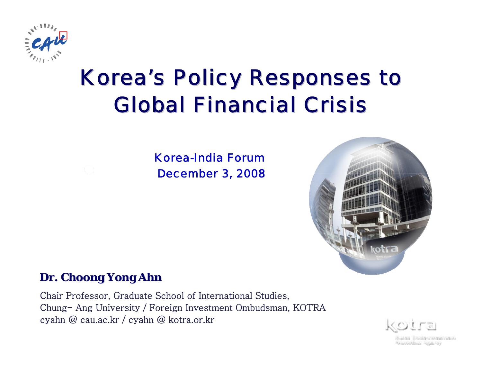

# Korea's Policy Responses to **Global Financial Crisis**

#### Korea-India ForumDecember 3, 2008



#### **Dr. Choong Yong Ahn Dr. Choong Yong Ahn**

Chair Professor, Graduate School of International Studies, Chung- Ang University / Foreign Investment Ombudsman, KOTRA cyahn @ cau.ac.kr / cyahn @ kotra.or.kr



dealers Tought Chemical Care Manufacture Argentsy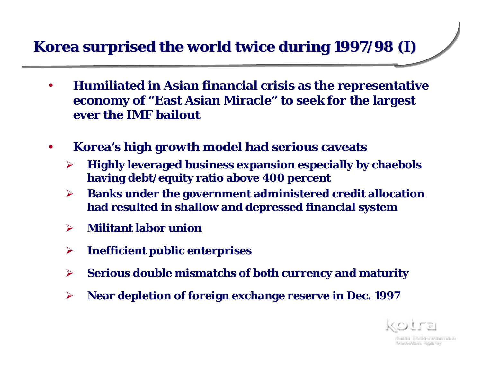#### **Korea surprised the world twice during 1997/98 (I) Korea surprised the world twice during 1997/98 (I)**

- $\bullet$  **Humiliated in Asian financial crisis as the representative economy of "East Asian Miracle" to seek for the largest ever the IMF bailout**
- $\bullet$  **Korea's high growth model had serious caveats**
	- ¾ **Highly leveraged business expansion especially by chaebols having debt/equity ratio above 400 percent**
	- $\blacktriangleright$  **Banks under the government administered credit allocation had resulted in shallow and depressed financial system**
	- $\blacktriangleright$ **Militant labor union**
	- ¾**Inefficient public enterprises**
	- ¾**Serious double mismatchs of both currency and maturity**
	- ¾**Near depletion of foreign exchange reserve in Dec. 1997**



and Diskey Americans Gaunalian Againsy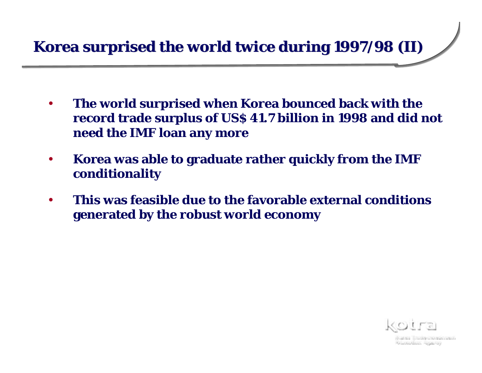### **Korea surprised the world twice during 1997/98 (II) Korea surprised the world twice during 1997/98 (II)**

- $\bullet$  **The world surprised when Korea bounced back with the record trade surplus of US\$ 41.7 billion in 1998 and did not need the IMF loan any more**
- $\bullet$  **Korea was able to graduate rather quickly from the IMF conditionality**
- $\bullet$  **This was feasible due to the favorable external conditions generated by the robust world economy**



and a consideration and on Hannobini Rejarioj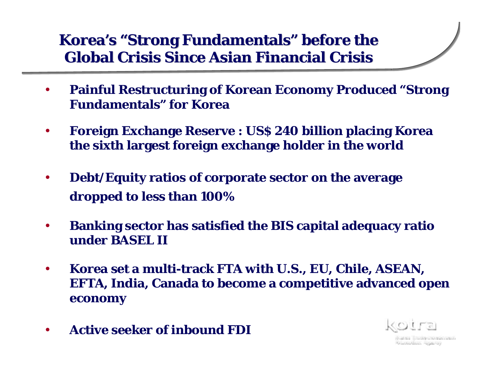#### **Korea's "Strong Fundamentals" before the Global Crisis Since Asian Financial Crisis Global Crisis Since Asian Financial Crisis**

- • **Painful Restructuring of Korean Economy Produced "Strong Fundamentals" for Korea**
- • **Foreign Exchange Reserve : US\$ 240 billion placing Korea the sixth largest foreign exchange holder in the world**
- $\bullet$  **Debt/Equity ratios of corporate sector on the average dropped to less than 100%**
- • **Banking sector has satisfied the BIS capital adequacy ratio under BASEL II**
- $\bullet$  **Korea set a multi-track FTA with U.S., EU, Chile, ASEAN, EFTA, India, Canada to become a competitive advanced open economy**
- •**Active seeker of inbound FDI**

mi lludke ilkamis vanil **Paulkaham** (1994-199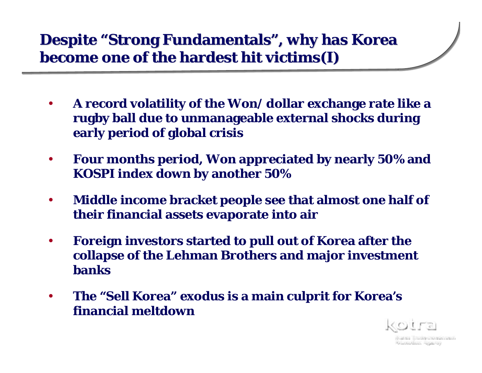#### **Despite "Strong Fundamentals", why has Korea become one of the hardest hit victims(I) become one of the hardest hit victims(I)**

- $\bullet$  **A record volatility of the Won/ dollar exchange rate like a rugby ball due to unmanageable external shocks during early period of global crisis**
- $\bullet$  **Four months period, Won appreciated by nearly 50% and KOSPI index down by another 50%**
- • **Middle income bracket people see that almost one half of their financial assets evaporate into air**
- $\bullet$  **Foreign investors started to pull out of Korea after the collapse of the Lehman Brothers and major investment banks**
- $\bullet$  **The "Sell Korea" exodus is a main culprit for Korea's financial meltdown**



**FIEL UNION LINERATORIES Gaadkalassa magachay**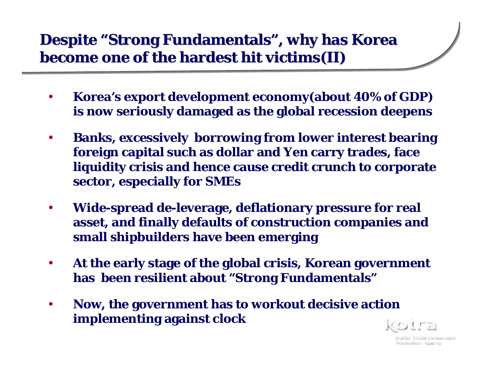#### **Despite "Strong Fundamentals", why has Korea become one of the hardest hit victims(II) become one of the hardest hit victims(II)**

- • **Korea's export development economy(about 40% of GDP) is now seriously damaged as the global recession deepens**
- $\bullet$  **Banks, excessively borrowing from lower interest bearing foreign capital such as dollar and Yen carry trades, face liquidity crisis and hence cause credit crunch to corporate sector, especially for SMEs**
- $\bullet$  **Wide-spread de-leverage, deflationary pressure for real asset, and finally defaults of construction companies and small shipbuilders have been emerging**
- $\bullet$  **At the early stage of the global crisis, Korean government has been resilient about "Strong Fundamentals"**
- • **Now, the government has to workout decisive action implementing against clock**



aten Trunks (Nomin van de Gaunalian Againsy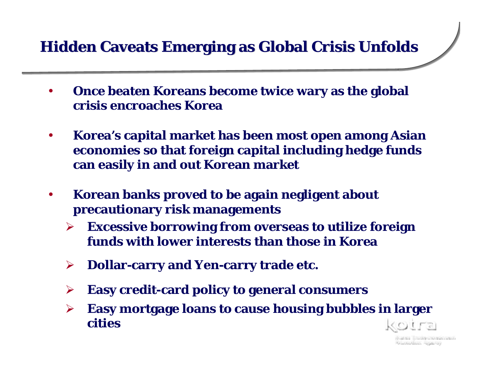#### **Hidden Caveats Emerging as Global Crisis Unfolds**

- • **Once beaten Koreans become twice wary as the global crisis encroaches Korea**
- $\bullet$  **Korea's capital market has been most open among Asian economies so that foreign capital including hedge funds can easily in and out Korean market**
- $\bullet$  **Korean banks proved to be again negligent about precautionary risk managements**
	- ¾ **Excessive borrowing from overseas to utilize foreign funds with lower interests than those in Korea**
	- $\blacktriangleright$ **Dollar-carry and Yen-carry trade etc.**
	- ¾**Easy credit-card policy to general consumers**
	- ¾ **Easy mortgage loans to cause housing bubbles in larger cities**

and Illustra Lineague and Le **Gaadkalassa magachay**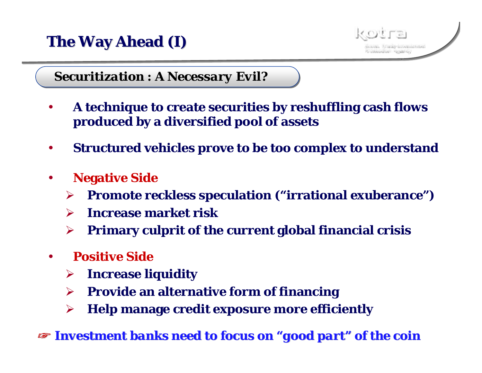## **The Way Ahead (I)**



*Securitization : A Necessary Evil?*

- $\bullet$  **A technique to create securities by reshuffling cash flows produced by a diversified pool of assets**
- $\bullet$ **Structured vehicles prove to be too complex to understand**
- $\bullet$  **Negative Side**
	- ¾**Promote reckless speculation ("irrational exuberance")**
	- ¾ **Increase market risk**
	- $\blacktriangleright$ **Primary culprit of the current global financial crisis**
- $\bullet$  **Positive Side**
	- ¾**Increase liquidity**
	- ¾ **Provide an alternative form of financing**
	- ¾**Help manage credit exposure more efficiently**

☞ *Investment banks need to focus on Investment banks need to focus on "good part good part" of the coin of the coin*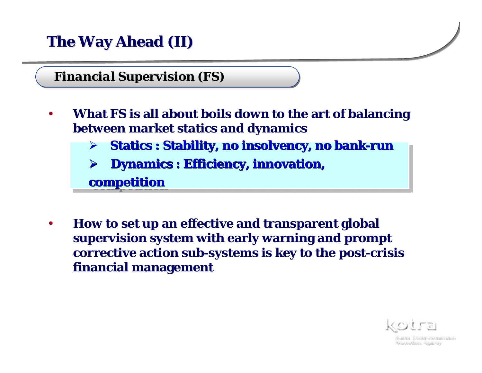**The Way Ahead (II)** 

*Financial Supervision (FS)* 

- • **What FS is all about boils down to the art of balancing between market statics and dynamics**
	- ¾¾ $\triangleright$  Statics : Stability, no insolvency, no bank-run
	- ¾¾**Dynamics : Efficiency, innovation, Dynamics : Efficiency, innovation, Dynamics : Efficiency, innovation,**

**competition competition competition**

 $\bullet$  **How to set up an effective and transparent global supervision system with early warning and prompt corrective action sub-systems is key to the post-crisis financial management**



Subside Tourist Commitment Hammadan Againsy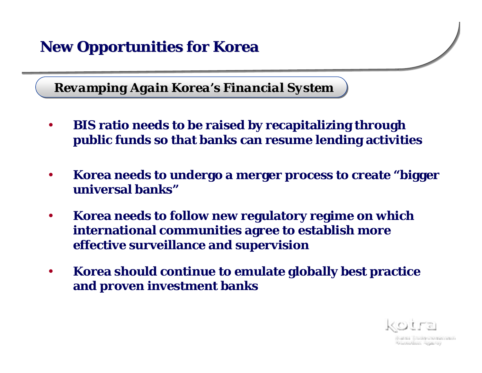#### **New Opportunities for Korea**

*Revamping Again Korea's Financial System* 

- • **BIS ratio needs to be raised by recapitalizing through public funds so that banks can resume lending activities**
- $\bullet$  **Korea needs to undergo a merger process to create "bigger universal banks"**
- • **Korea needs to follow new regulatory regime on which international communities agree to establish more effective surveillance and supervision**
- $\bullet$  **Korea should continue to emulate globally best practice and proven investment banks**



Santa Tituling Libraris Viennia **Gaussian Republic**